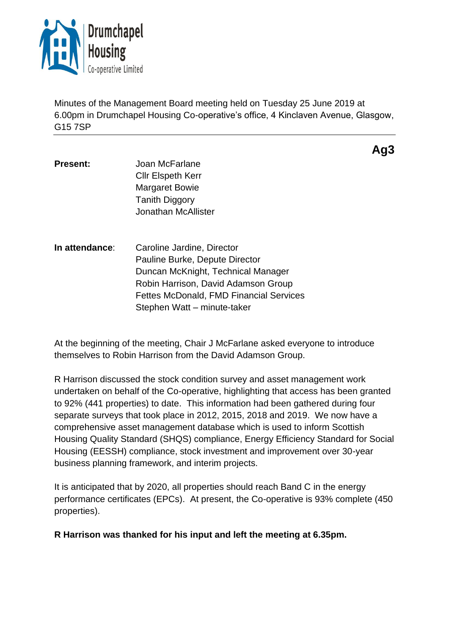

Minutes of the Management Board meeting held on Tuesday 25 June 2019 at 6.00pm in Drumchapel Housing Co-operative's office, 4 Kinclaven Avenue, Glasgow, G15 7SP

**Present:** Joan McFarlane Cllr Elspeth Kerr Margaret Bowie Tanith Diggory Jonathan McAllister

**In attendance**: Caroline Jardine, Director Pauline Burke, Depute Director Duncan McKnight, Technical Manager Robin Harrison, David Adamson Group Fettes McDonald, FMD Financial Services Stephen Watt – minute-taker

At the beginning of the meeting, Chair J McFarlane asked everyone to introduce themselves to Robin Harrison from the David Adamson Group.

R Harrison discussed the stock condition survey and asset management work undertaken on behalf of the Co-operative, highlighting that access has been granted to 92% (441 properties) to date. This information had been gathered during four separate surveys that took place in 2012, 2015, 2018 and 2019. We now have a comprehensive asset management database which is used to inform Scottish Housing Quality Standard (SHQS) compliance, Energy Efficiency Standard for Social Housing (EESSH) compliance, stock investment and improvement over 30-year business planning framework, and interim projects.

It is anticipated that by 2020, all properties should reach Band C in the energy performance certificates (EPCs). At present, the Co-operative is 93% complete (450 properties).

**R Harrison was thanked for his input and left the meeting at 6.35pm.**

# **Ag3**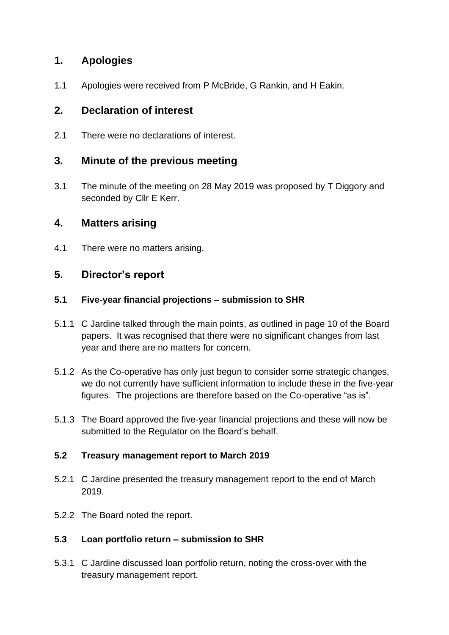# **1. Apologies**

1.1 Apologies were received from P McBride, G Rankin, and H Eakin.

# **2. Declaration of interest**

2.1 There were no declarations of interest.

## **3. Minute of the previous meeting**

3.1 The minute of the meeting on 28 May 2019 was proposed by T Diggory and seconded by Cllr E Kerr.

# **4. Matters arising**

4.1 There were no matters arising.

# **5. Director's report**

## **5.1 Five-year financial projections – submission to SHR**

- 5.1.1 C Jardine talked through the main points, as outlined in page 10 of the Board papers. It was recognised that there were no significant changes from last year and there are no matters for concern.
- 5.1.2 As the Co-operative has only just begun to consider some strategic changes, we do not currently have sufficient information to include these in the five-year figures. The projections are therefore based on the Co-operative "as is".
- 5.1.3 The Board approved the five-year financial projections and these will now be submitted to the Regulator on the Board's behalf.

## **5.2 Treasury management report to March 2019**

- 5.2.1 C Jardine presented the treasury management report to the end of March 2019.
- 5.2.2 The Board noted the report.

## **5.3 Loan portfolio return – submission to SHR**

5.3.1 C Jardine discussed loan portfolio return, noting the cross-over with the treasury management report.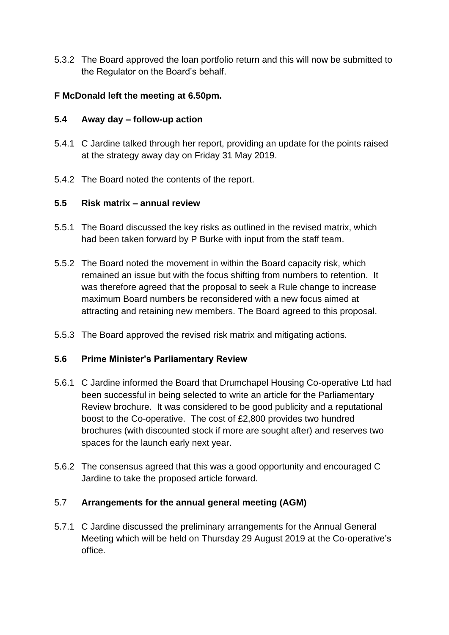5.3.2 The Board approved the loan portfolio return and this will now be submitted to the Regulator on the Board's behalf.

## **F McDonald left the meeting at 6.50pm.**

## **5.4 Away day – follow-up action**

- 5.4.1 C Jardine talked through her report, providing an update for the points raised at the strategy away day on Friday 31 May 2019.
- 5.4.2 The Board noted the contents of the report.

## **5.5 Risk matrix – annual review**

- 5.5.1 The Board discussed the key risks as outlined in the revised matrix, which had been taken forward by P Burke with input from the staff team.
- 5.5.2 The Board noted the movement in within the Board capacity risk, which remained an issue but with the focus shifting from numbers to retention. It was therefore agreed that the proposal to seek a Rule change to increase maximum Board numbers be reconsidered with a new focus aimed at attracting and retaining new members. The Board agreed to this proposal.
- 5.5.3 The Board approved the revised risk matrix and mitigating actions.

## **5.6 Prime Minister's Parliamentary Review**

- 5.6.1 C Jardine informed the Board that Drumchapel Housing Co-operative Ltd had been successful in being selected to write an article for the Parliamentary Review brochure. It was considered to be good publicity and a reputational boost to the Co-operative. The cost of £2,800 provides two hundred brochures (with discounted stock if more are sought after) and reserves two spaces for the launch early next year.
- 5.6.2 The consensus agreed that this was a good opportunity and encouraged C Jardine to take the proposed article forward.

## 5.7 **Arrangements for the annual general meeting (AGM)**

5.7.1 C Jardine discussed the preliminary arrangements for the Annual General Meeting which will be held on Thursday 29 August 2019 at the Co-operative's office.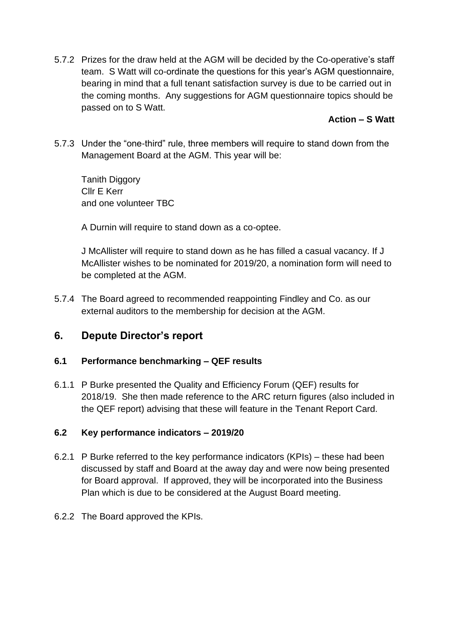5.7.2 Prizes for the draw held at the AGM will be decided by the Co-operative's staff team. S Watt will co-ordinate the questions for this year's AGM questionnaire, bearing in mind that a full tenant satisfaction survey is due to be carried out in the coming months. Any suggestions for AGM questionnaire topics should be passed on to S Watt.

## **Action – S Watt**

5.7.3 Under the "one-third" rule, three members will require to stand down from the Management Board at the AGM. This year will be:

Tanith Diggory Cllr E Kerr and one volunteer TBC

A Durnin will require to stand down as a co-optee.

J McAllister will require to stand down as he has filled a casual vacancy. If J McAllister wishes to be nominated for 2019/20, a nomination form will need to be completed at the AGM.

5.7.4 The Board agreed to recommended reappointing Findley and Co. as our external auditors to the membership for decision at the AGM.

# **6. Depute Director's report**

## **6.1 Performance benchmarking – QEF results**

6.1.1 P Burke presented the Quality and Efficiency Forum (QEF) results for 2018/19. She then made reference to the ARC return figures (also included in the QEF report) advising that these will feature in the Tenant Report Card.

## **6.2 Key performance indicators – 2019/20**

- 6.2.1 P Burke referred to the key performance indicators (KPIs) these had been discussed by staff and Board at the away day and were now being presented for Board approval. If approved, they will be incorporated into the Business Plan which is due to be considered at the August Board meeting.
- 6.2.2 The Board approved the KPIs.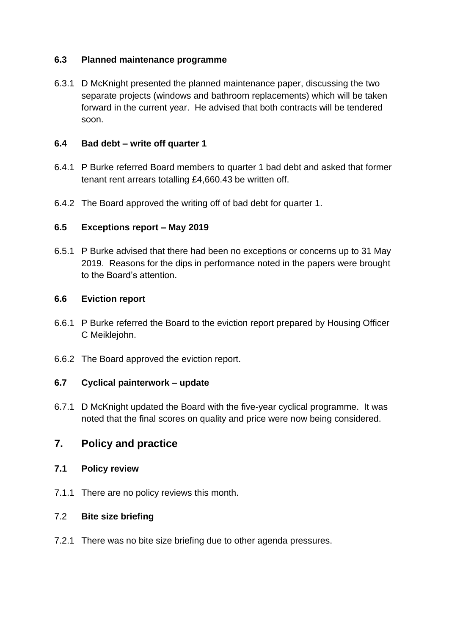## **6.3 Planned maintenance programme**

6.3.1 D McKnight presented the planned maintenance paper, discussing the two separate projects (windows and bathroom replacements) which will be taken forward in the current year. He advised that both contracts will be tendered soon.

#### **6.4 Bad debt – write off quarter 1**

- 6.4.1 P Burke referred Board members to quarter 1 bad debt and asked that former tenant rent arrears totalling £4,660.43 be written off.
- 6.4.2 The Board approved the writing off of bad debt for quarter 1.

#### **6.5 Exceptions report – May 2019**

6.5.1 P Burke advised that there had been no exceptions or concerns up to 31 May 2019. Reasons for the dips in performance noted in the papers were brought to the Board's attention.

#### **6.6 Eviction report**

- 6.6.1 P Burke referred the Board to the eviction report prepared by Housing Officer C Meiklejohn.
- 6.6.2 The Board approved the eviction report.

#### **6.7 Cyclical painterwork – update**

6.7.1 D McKnight updated the Board with the five-year cyclical programme. It was noted that the final scores on quality and price were now being considered.

## **7. Policy and practice**

#### **7.1 Policy review**

7.1.1 There are no policy reviews this month.

#### 7.2 **Bite size briefing**

7.2.1 There was no bite size briefing due to other agenda pressures.